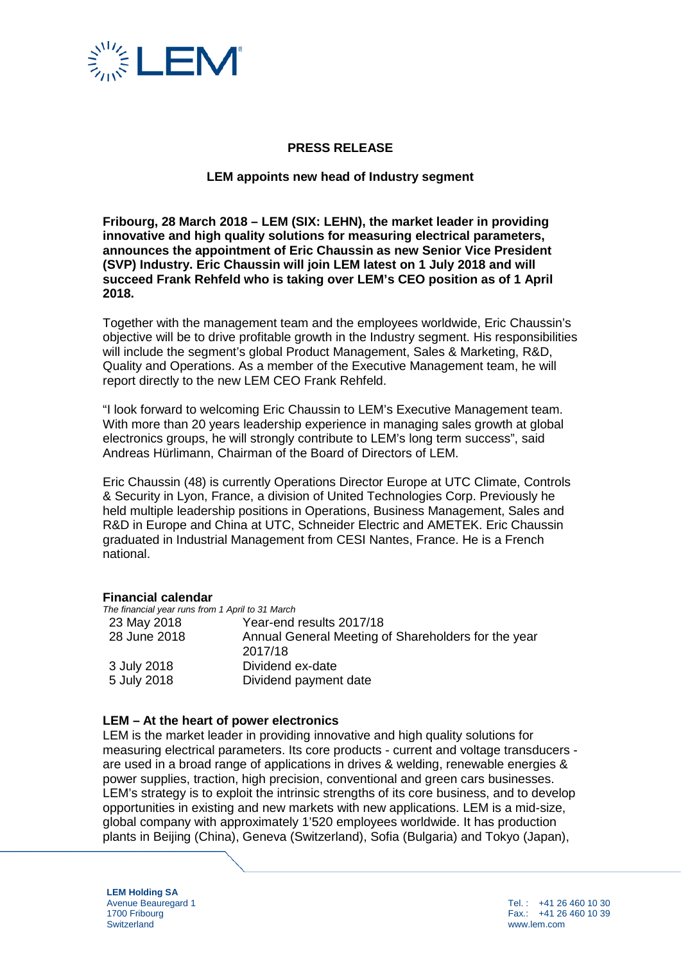

# **PRESS RELEASE**

### **LEM appoints new head of Industry segment**

**Fribourg, 28 March 2018 – LEM (SIX: LEHN), the market leader in providing innovative and high quality solutions for measuring electrical parameters, announces the appointment of Eric Chaussin as new Senior Vice President (SVP) Industry. Eric Chaussin will join LEM latest on 1 July 2018 and will succeed Frank Rehfeld who is taking over LEM's CEO position as of 1 April 2018.** 

Together with the management team and the employees worldwide, Eric Chaussin's objective will be to drive profitable growth in the Industry segment. His responsibilities will include the segment's global Product Management, Sales & Marketing, R&D, Quality and Operations. As a member of the Executive Management team, he will report directly to the new LEM CEO Frank Rehfeld.

"I look forward to welcoming Eric Chaussin to LEM's Executive Management team. With more than 20 years leadership experience in managing sales growth at global electronics groups, he will strongly contribute to LEM's long term success", said Andreas Hürlimann, Chairman of the Board of Directors of LEM.

Eric Chaussin (48) is currently Operations Director Europe at UTC Climate, Controls & Security in Lyon, France, a division of United Technologies Corp. Previously he held multiple leadership positions in Operations, Business Management, Sales and R&D in Europe and China at UTC, Schneider Electric and AMETEK. Eric Chaussin graduated in Industrial Management from CESI Nantes, France. He is a French national.

#### **Financial calendar**

| The financial year runs from 1 April to 31 March    |
|-----------------------------------------------------|
| Year-end results 2017/18                            |
| Annual General Meeting of Shareholders for the year |
| 2017/18                                             |
| Dividend ex-date                                    |
| Dividend payment date                               |
|                                                     |

#### **LEM – At the heart of power electronics**

LEM is the market leader in providing innovative and high quality solutions for measuring electrical parameters. Its core products - current and voltage transducers are used in a broad range of applications in drives & welding, renewable energies & power supplies, traction, high precision, conventional and green cars businesses. LEM's strategy is to exploit the intrinsic strengths of its core business, and to develop opportunities in existing and new markets with new applications. LEM is a mid-size, global company with approximately 1'520 employees worldwide. It has production plants in Beijing (China), Geneva (Switzerland), Sofia (Bulgaria) and Tokyo (Japan),

**LEM Holding SA** Avenue Beauregard 1 1700 Fribourg **Switzerland**